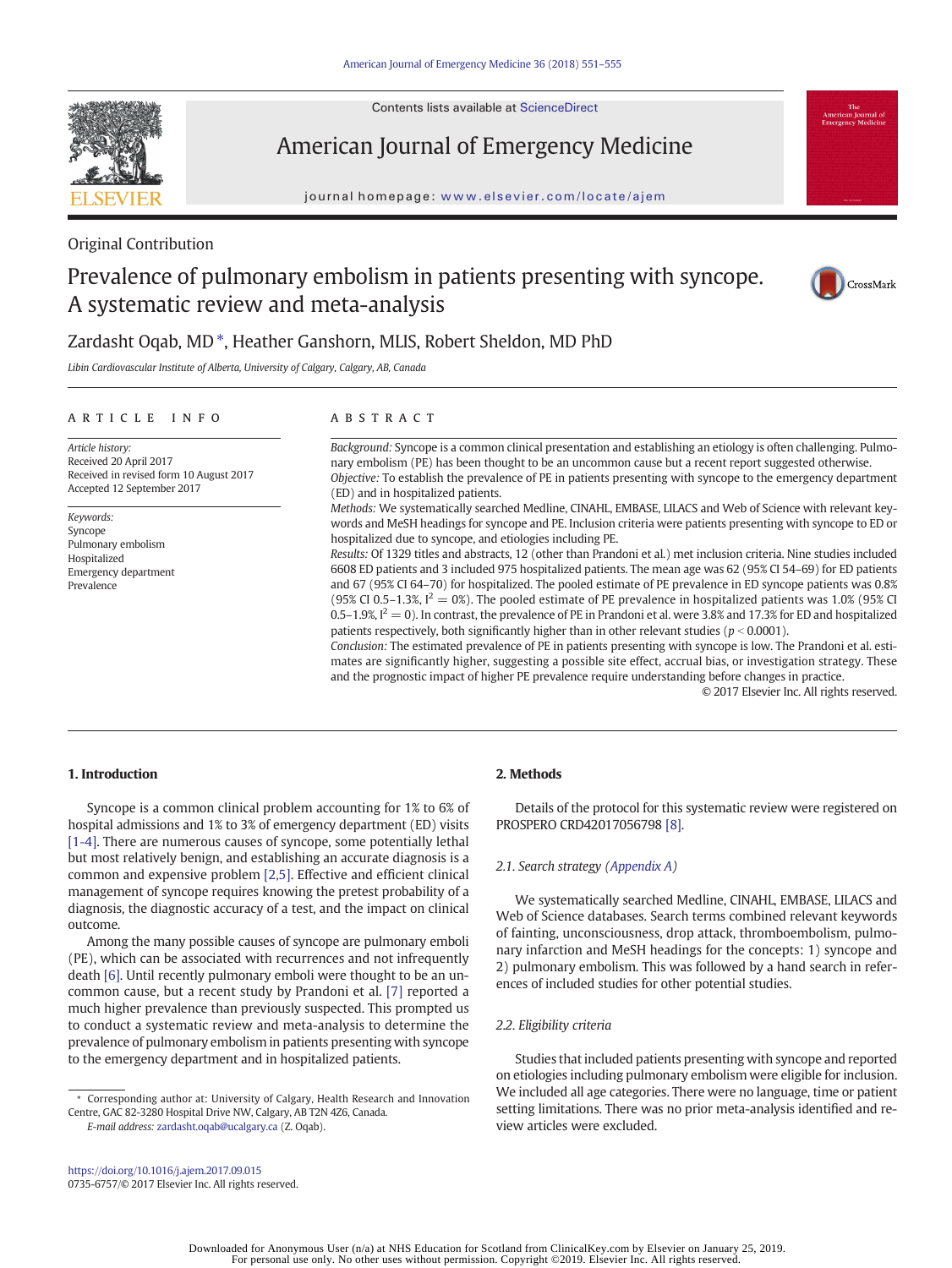Contents lists available at ScienceDirect



American Journal of Emergency Medicine

journal homepage: <www.elsevier.com/locate/ajem>



## Original Contribution

# Prevalence of pulmonary embolism in patients presenting with syncope. A systematic review and meta-analysis



# Zardasht Oqab, MD<sup>\*</sup>, Heather Ganshorn, MLIS, Robert Sheldon, MD PhD

Libin Cardiovascular Institute of Alberta, University of Calgary, Calgary, AB, Canada

#### article info abstract

Received in revised form 10 August 2017 Accepted 12 September 2017

Article history: Received 20 April 2017

Keywords: Syncope

Prevalence

Pulmonary embolism Hospitalized Emergency department

Background: Syncope is a common clinical presentation and establishing an etiology is often challenging. Pulmonary embolism (PE) has been thought to be an uncommon cause but a recent report suggested otherwise. Objective: To establish the prevalence of PE in patients presenting with syncope to the emergency department (ED) and in hospitalized patients.

Methods: We systematically searched Medline, CINAHL, EMBASE, LILACS and Web of Science with relevant keywords and MeSH headings for syncope and PE. Inclusion criteria were patients presenting with syncope to ED or hospitalized due to syncope, and etiologies including PE.

Results: Of 1329 titles and abstracts, 12 (other than Prandoni et al.) met inclusion criteria. Nine studies included 6608 ED patients and 3 included 975 hospitalized patients. The mean age was 62 (95% CI 54–69) for ED patients and 67 (95% CI 64–70) for hospitalized. The pooled estimate of PE prevalence in ED syncope patients was 0.8% (95% CI 0.5–1.3%,  $I^2 = 0$ %). The pooled estimate of PE prevalence in hospitalized patients was 1.0% (95% CI 0.5–1.9%,  $I^2 = 0$ ). In contrast, the prevalence of PE in Prandoni et al. were 3.8% and 17.3% for ED and hospitalized patients respectively, both significantly higher than in other relevant studies ( $p < 0.0001$ ).

Conclusion: The estimated prevalence of PE in patients presenting with syncope is low. The Prandoni et al. estimates are significantly higher, suggesting a possible site effect, accrual bias, or investigation strategy. These and the prognostic impact of higher PE prevalence require understanding before changes in practice.

© 2017 Elsevier Inc. All rights reserved.

#### 1. Introduction

Syncope is a common clinical problem accounting for 1% to 6% of hospital admissions and 1% to 3% of emergency department (ED) visits [\[1-4\].](#page-3-0) There are numerous causes of syncope, some potentially lethal but most relatively benign, and establishing an accurate diagnosis is a common and expensive problem [\[2,5\].](#page-3-0) Effective and efficient clinical management of syncope requires knowing the pretest probability of a diagnosis, the diagnostic accuracy of a test, and the impact on clinical outcome.

Among the many possible causes of syncope are pulmonary emboli (PE), which can be associated with recurrences and not infrequently death [\[6\]](#page-3-0). Until recently pulmonary emboli were thought to be an uncommon cause, but a recent study by Prandoni et al. [\[7\]](#page-3-0) reported a much higher prevalence than previously suspected. This prompted us to conduct a systematic review and meta-analysis to determine the prevalence of pulmonary embolism in patients presenting with syncope to the emergency department and in hospitalized patients.

E-mail address: [zardasht.oqab@ucalgary.ca](mailto:zardasht.oqab@ucalgary.ca) (Z. Oqab).

#### <https://doi.org/10.1016/j.ajem.2017.09.015> 0735-6757/© 2017 Elsevier Inc. All rights reserved.

#### 2. Methods

Details of the protocol for this systematic review were registered on PROSPERO CRD42017056798 [\[8\]](#page-3-0).

#### 2.1. Search strategy [\(Appendix A\)](#page-3-0)

We systematically searched Medline, CINAHL, EMBASE, LILACS and Web of Science databases. Search terms combined relevant keywords of fainting, unconsciousness, drop attack, thromboembolism, pulmonary infarction and MeSH headings for the concepts: 1) syncope and 2) pulmonary embolism. This was followed by a hand search in references of included studies for other potential studies.

#### 2.2. Eligibility criteria

Studies that included patients presenting with syncope and reported on etiologies including pulmonary embolism were eligible for inclusion. We included all age categories. There were no language, time or patient setting limitations. There was no prior meta-analysis identified and review articles were excluded.

<sup>⁎</sup> Corresponding author at: University of Calgary, Health Research and Innovation Centre, GAC 82-3280 Hospital Drive NW, Calgary, AB T2N 4Z6, Canada.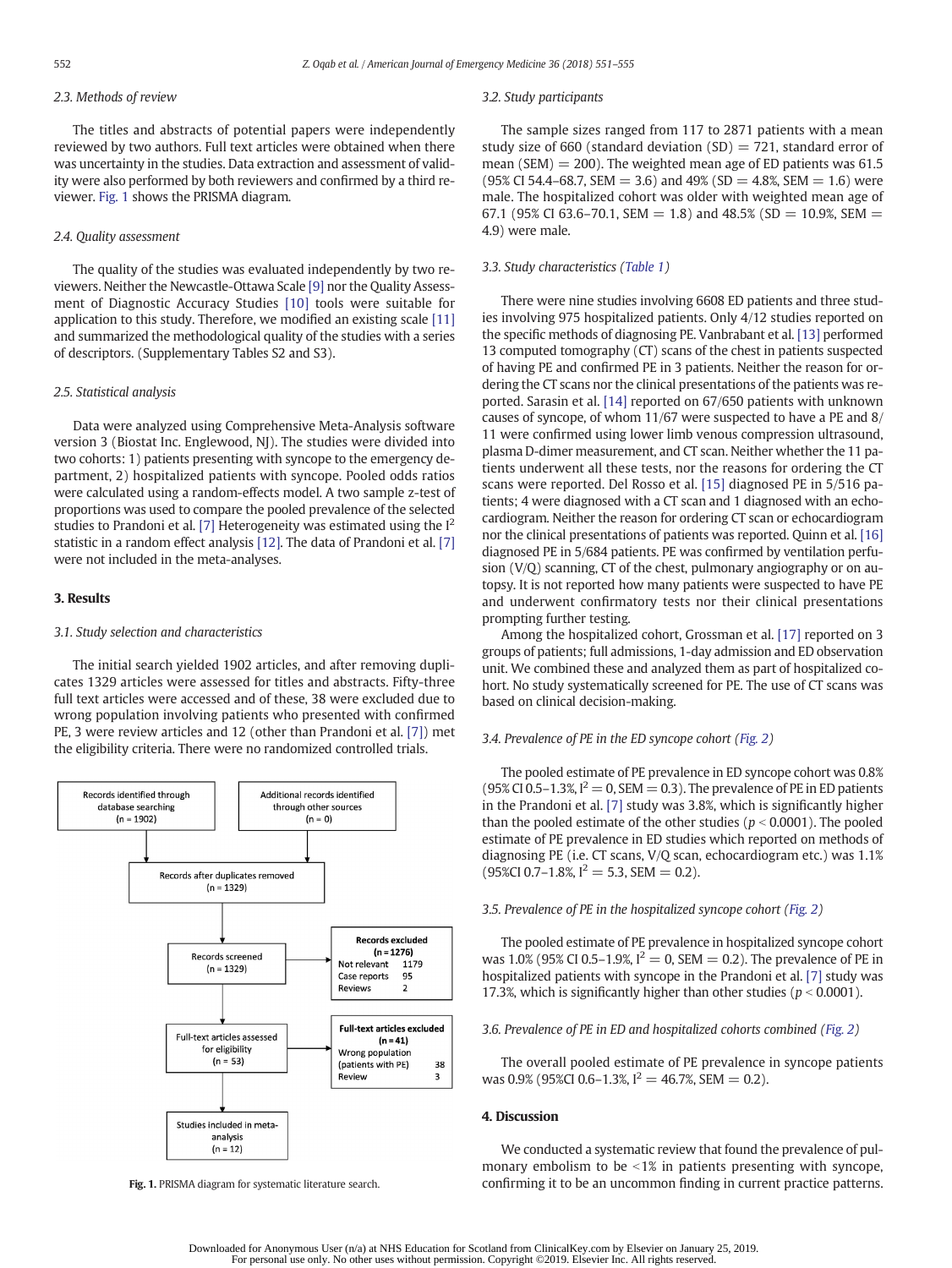### 2.3. Methods of review

The titles and abstracts of potential papers were independently reviewed by two authors. Full text articles were obtained when there was uncertainty in the studies. Data extraction and assessment of validity were also performed by both reviewers and confirmed by a third reviewer. Fig. 1 shows the PRISMA diagram.

#### 2.4. Quality assessment

The quality of the studies was evaluated independently by two reviewers. Neither the Newcastle-Ottawa Scale [\[9\]](#page-3-0) nor the Quality Assessment of Diagnostic Accuracy Studies [\[10\]](#page-3-0) tools were suitable for application to this study. Therefore, we modified an existing scale [\[11\]](#page-3-0) and summarized the methodological quality of the studies with a series of descriptors. (Supplementary Tables S2 and S3).

#### 2.5. Statistical analysis

Data were analyzed using Comprehensive Meta-Analysis software version 3 (Biostat Inc. Englewood, NJ). The studies were divided into two cohorts: 1) patients presenting with syncope to the emergency department, 2) hospitalized patients with syncope. Pooled odds ratios were calculated using a random-effects model. A two sample z-test of proportions was used to compare the pooled prevalence of the selected studies to Prandoni et al. [\[7\]](#page-3-0) Heterogeneity was estimated using the  $I^2$ statistic in a random effect analysis [\[12\]](#page-3-0). The data of Prandoni et al. [\[7\]](#page-3-0) were not included in the meta-analyses.

#### 3. Results

#### 3.1. Study selection and characteristics

The initial search yielded 1902 articles, and after removing duplicates 1329 articles were assessed for titles and abstracts. Fifty-three full text articles were accessed and of these, 38 were excluded due to wrong population involving patients who presented with confirmed PE, 3 were review articles and 12 (other than Prandoni et al. [\[7\]\)](#page-3-0) met the eligibility criteria. There were no randomized controlled trials.



#### 3.2. Study participants

The sample sizes ranged from 117 to 2871 patients with a mean study size of 660 (standard deviation  $(SD) = 721$ , standard error of mean (SEM)  $= 200$ ). The weighted mean age of ED patients was 61.5 (95% CI 54.4–68.7, SEM = 3.6) and 49% (SD = 4.8%, SEM = 1.6) were male. The hospitalized cohort was older with weighted mean age of 67.1 (95% CI 63.6–70.1, SEM = 1.8) and 48.5% (SD = 10.9%, SEM = 4.9) were male.

#### 3.3. Study characteristics [\(Table 1\)](#page-2-0)

There were nine studies involving 6608 ED patients and three studies involving 975 hospitalized patients. Only 4/12 studies reported on the specific methods of diagnosing PE. Vanbrabant et al. [\[13\]](#page-3-0) performed 13 computed tomography (CT) scans of the chest in patients suspected of having PE and confirmed PE in 3 patients. Neither the reason for ordering the CT scans nor the clinical presentations of the patients was reported. Sarasin et al. [\[14\]](#page-3-0) reported on 67/650 patients with unknown causes of syncope, of whom 11/67 were suspected to have a PE and 8/ 11 were confirmed using lower limb venous compression ultrasound, plasma D-dimer measurement, and CT scan. Neither whether the 11 patients underwent all these tests, nor the reasons for ordering the CT scans were reported. Del Rosso et al. [\[15\]](#page-3-0) diagnosed PE in 5/516 patients; 4 were diagnosed with a CT scan and 1 diagnosed with an echocardiogram. Neither the reason for ordering CT scan or echocardiogram nor the clinical presentations of patients was reported. Quinn et al. [\[16\]](#page-3-0) diagnosed PE in 5/684 patients. PE was confirmed by ventilation perfusion (V/Q) scanning, CT of the chest, pulmonary angiography or on autopsy. It is not reported how many patients were suspected to have PE and underwent confirmatory tests nor their clinical presentations prompting further testing.

Among the hospitalized cohort, Grossman et al. [\[17\]](#page-3-0) reported on 3 groups of patients; full admissions, 1-day admission and ED observation unit. We combined these and analyzed them as part of hospitalized cohort. No study systematically screened for PE. The use of CT scans was based on clinical decision-making.

#### 3.4. Prevalence of PE in the ED syncope cohort [\(Fig. 2\)](#page-2-0)

The pooled estimate of PE prevalence in ED syncope cohort was 0.8% (95% CI 0.5–1.3%,  $I^2 = 0$ , SEM = 0.3). The prevalence of PE in ED patients in the Prandoni et al. [\[7\]](#page-3-0) study was 3.8%, which is significantly higher than the pooled estimate of the other studies ( $p < 0.0001$ ). The pooled estimate of PE prevalence in ED studies which reported on methods of diagnosing PE (i.e. CT scans, V/Q scan, echocardiogram etc.) was 1.1%  $(95\%CI\ 0.7-1.8\%, I^2 = 5.3, SEM = 0.2).$ 

#### 3.5. Prevalence of PE in the hospitalized syncope cohort [\(Fig. 2\)](#page-2-0)

The pooled estimate of PE prevalence in hospitalized syncope cohort was 1.0% (95% CI 0.5–1.9%,  $I^2 = 0$ , SEM  $= 0.2$ ). The prevalence of PE in hospitalized patients with syncope in the Prandoni et al. [\[7\]](#page-3-0) study was 17.3%, which is significantly higher than other studies ( $p < 0.0001$ ).

#### 3.6. Prevalence of PE in ED and hospitalized cohorts combined ([Fig. 2\)](#page-2-0)

The overall pooled estimate of PE prevalence in syncope patients was 0.9% (95%CI 0.6–1.3%,  $I^2 = 46.7$ %, SEM = 0.2).

#### 4. Discussion

We conducted a systematic review that found the prevalence of pulmonary embolism to be  $\leq 1\%$  in patients presenting with syncope, Fig. 1. PRISMA diagram for systematic literature search. confirming it to be an uncommon finding in current practice patterns.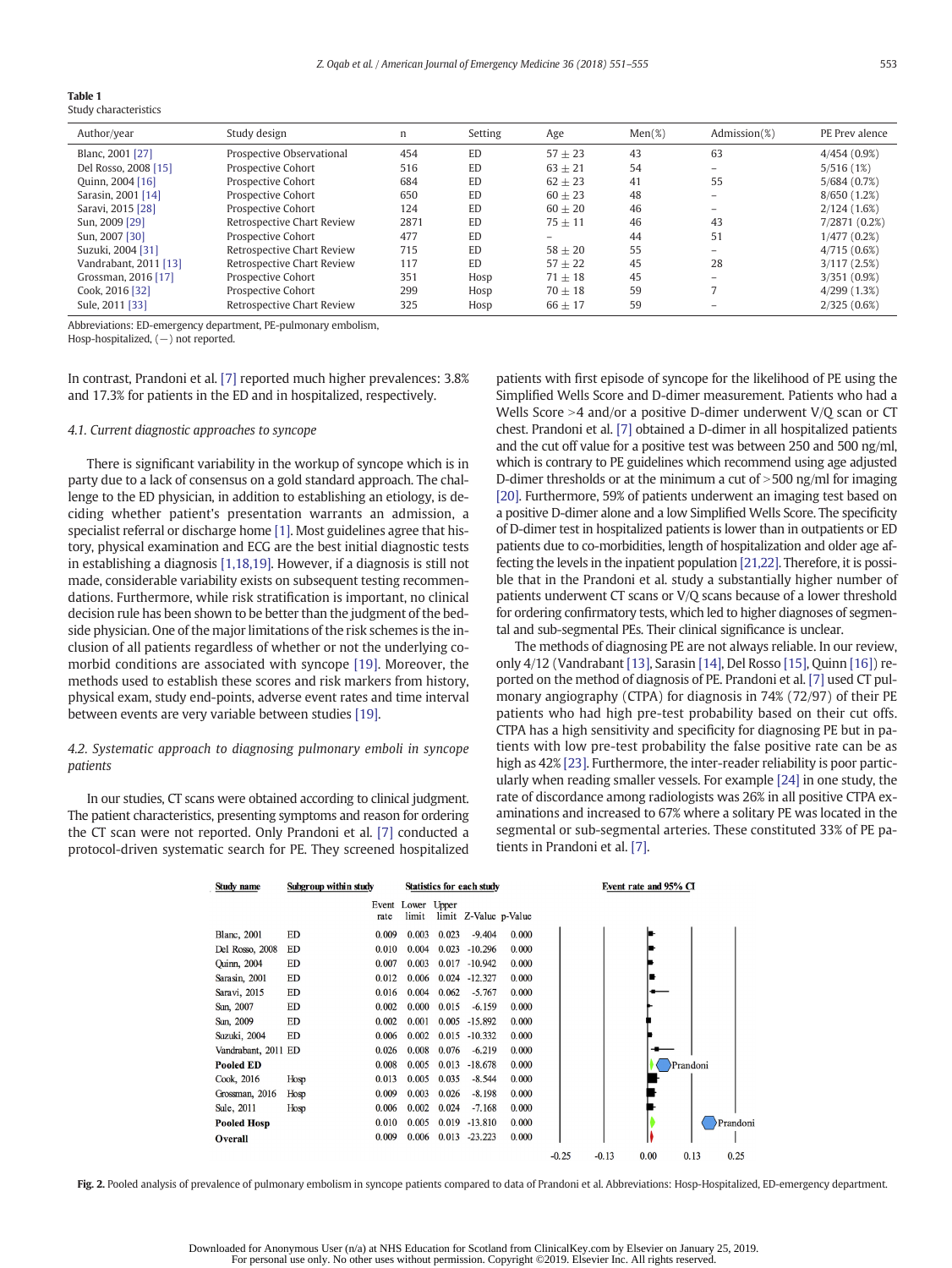<span id="page-2-0"></span>

|--|--|--|

Study characteristics

| Author/year           | Study design               | n    | Setting   | Age       | $Men(\%)$ | Admission(%)             | PE Prev alence |
|-----------------------|----------------------------|------|-----------|-----------|-----------|--------------------------|----------------|
| Blanc, 2001 [27]      | Prospective Observational  | 454  | <b>ED</b> | $57 + 23$ | 43        | 63                       | 4/454(0.9%)    |
| Del Rosso, 2008 [15]  | Prospective Cohort         | 516  | <b>ED</b> | $63 + 21$ | 54        | -                        | 5/516(1%)      |
| Quinn, 2004 [16]      | Prospective Cohort         | 684  | <b>ED</b> | $62 + 23$ | 41        | 55                       | 5/684 (0.7%)   |
| Sarasin, 2001 [14]    | Prospective Cohort         | 650  | <b>ED</b> | $60 + 23$ | 48        | $\qquad \qquad -$        | 8/650(1.2%)    |
| Saravi, 2015 [28]     | Prospective Cohort         | 124  | <b>ED</b> | $60 + 20$ | 46        |                          | 2/124(1.6%)    |
| Sun, 2009 [29]        | Retrospective Chart Review | 2871 | <b>ED</b> | $75 + 11$ | 46        | 43                       | 7/2871 (0.2%)  |
| Sun. 2007 [30]        | Prospective Cohort         | 477  | <b>ED</b> | $-$       | 44        | 51                       | 1/477(0.2%)    |
| Suzuki, 2004 [31]     | Retrospective Chart Review | 715  | <b>ED</b> | $58 + 20$ | 55        | $\overline{\phantom{0}}$ | 4/715(0.6%)    |
| Vandrabant, 2011 [13] | Retrospective Chart Review | 117  | <b>ED</b> | $57 + 22$ | 45        | 28                       | 3/117(2.5%)    |
| Grossman, 2016 [17]   | Prospective Cohort         | 351  | Hosp      | $71 + 18$ | 45        |                          | 3/351 (0.9%)   |
| Cook, 2016 [32]       | Prospective Cohort         | 299  | Hosp      | $70 + 18$ | 59        |                          | 4/299(1.3%)    |
| Sule, 2011 [33]       | Retrospective Chart Review | 325  | Hosp      | $66 + 17$ | 59        |                          | 2/325(0.6%)    |

Abbreviations: ED-emergency department, PE-pulmonary embolism,

Hosp-hospitalized, (−) not reported.

In contrast, Prandoni et al. [\[7\]](#page-3-0) reported much higher prevalences: 3.8% and 17.3% for patients in the ED and in hospitalized, respectively.

#### 4.1. Current diagnostic approaches to syncope

There is significant variability in the workup of syncope which is in party due to a lack of consensus on a gold standard approach. The challenge to the ED physician, in addition to establishing an etiology, is deciding whether patient's presentation warrants an admission, a specialist referral or discharge home [\[1\].](#page-3-0) Most guidelines agree that history, physical examination and ECG are the best initial diagnostic tests in establishing a diagnosis [\[1,18,19\].](#page-3-0) However, if a diagnosis is still not made, considerable variability exists on subsequent testing recommendations. Furthermore, while risk stratification is important, no clinical decision rule has been shown to be better than the judgment of the bedside physician. One of the major limitations of the risk schemes is the inclusion of all patients regardless of whether or not the underlying comorbid conditions are associated with syncope [\[19\]](#page-3-0). Moreover, the methods used to establish these scores and risk markers from history, physical exam, study end-points, adverse event rates and time interval between events are very variable between studies [\[19\].](#page-3-0)

#### 4.2. Systematic approach to diagnosing pulmonary emboli in syncope patients

In our studies, CT scans were obtained according to clinical judgment. The patient characteristics, presenting symptoms and reason for ordering the CT scan were not reported. Only Prandoni et al. [\[7\]](#page-3-0) conducted a protocol-driven systematic search for PE. They screened hospitalized patients with first episode of syncope for the likelihood of PE using the Simplified Wells Score and D-dimer measurement. Patients who had a Wells Score  $>4$  and/or a positive D-dimer underwent V/Q scan or CT chest. Prandoni et al. [\[7\]](#page-3-0) obtained a D-dimer in all hospitalized patients and the cut off value for a positive test was between 250 and 500 ng/ml, which is contrary to PE guidelines which recommend using age adjusted D-dimer thresholds or at the minimum a cut of  $>500$  ng/ml for imaging [\[20\].](#page-3-0) Furthermore, 59% of patients underwent an imaging test based on a positive D-dimer alone and a low Simplified Wells Score. The specificity of D-dimer test in hospitalized patients is lower than in outpatients or ED patients due to co-morbidities, length of hospitalization and older age affecting the levels in the inpatient population [\[21,22\]](#page-3-0). Therefore, it is possible that in the Prandoni et al. study a substantially higher number of patients underwent CT scans or V/Q scans because of a lower threshold for ordering confirmatory tests, which led to higher diagnoses of segmental and sub-segmental PEs. Their clinical significance is unclear.

The methods of diagnosing PE are not always reliable. In our review, only 4/12 (Vandrabant [\[13\],](#page-3-0) Sarasin [\[14\]](#page-3-0), Del Rosso [\[15\],](#page-3-0) Quinn [\[16\]](#page-3-0)) reported on the method of diagnosis of PE. Prandoni et al. [\[7\]](#page-3-0) used CT pulmonary angiography (CTPA) for diagnosis in 74% (72/97) of their PE patients who had high pre-test probability based on their cut offs. CTPA has a high sensitivity and specificity for diagnosing PE but in patients with low pre-test probability the false positive rate can be as high as 42% [\[23\].](#page-3-0) Furthermore, the inter-reader reliability is poor particularly when reading smaller vessels. For example [\[24\]](#page-3-0) in one study, the rate of discordance among radiologists was 26% in all positive CTPA examinations and increased to 67% where a solitary PE was located in the segmental or sub-segmental arteries. These constituted 33% of PE patients in Prandoni et al. [\[7\].](#page-3-0)

| Study name          | Subgroup within study |       | Statistics for each study  |       |                       | Event rate and 95% CI |         |         |      |          |         |
|---------------------|-----------------------|-------|----------------------------|-------|-----------------------|-----------------------|---------|---------|------|----------|---------|
|                     |                       | rate  | Event Lower Upper<br>limit |       | limit Z-Value p-Value |                       |         |         |      |          |         |
| <b>Blanc</b> , 2001 | <b>ED</b>             | 0.009 | 0.003                      | 0.023 | $-9.404$              | 0.000                 |         |         |      |          |         |
| Del Rosso, 2008     | ED                    | 0.010 | 0.004                      | 0.023 | $-10.296$             | 0.000                 |         |         |      |          |         |
| Quinn, 2004         | ED                    | 0.007 | 0.003                      | 0.017 | $-10.942$             | 0.000                 |         |         |      |          |         |
| Sarasin, 2001       | ED                    | 0.012 | 0.006                      | 0.024 | $-12.327$             | 0.000                 |         |         |      |          |         |
| Saravi, 2015        | ED                    | 0.016 | 0.004                      | 0.062 | $-5.767$              | 0.000                 |         |         |      |          |         |
| Sun, 2007           | ED                    | 0.002 | 0.000                      | 0.015 | $-6.159$              | 0.000                 |         |         |      |          |         |
| Sun, 2009           | ED                    | 0.002 | 0.001                      | 0.005 | $-15.892$             | 0.000                 |         |         |      |          |         |
| Suzuki, 2004        | ED                    | 0.006 | 0.002                      | 0.015 | $-10.332$             | 0.000                 |         |         |      |          |         |
| Vandrabant, 2011 ED |                       | 0.026 | 0.008                      | 0.076 | $-6.219$              | 0.000                 |         |         |      |          |         |
| <b>Pooled ED</b>    |                       | 0.008 | 0.005                      | 0.013 | $-18.678$             | 0.000                 |         |         |      | Prandoni |         |
| Cook, 2016          | Hosp                  | 0.013 | 0.005                      | 0.035 | $-8.544$              | 0.000                 |         |         |      |          |         |
| Grossman, 2016      | Hosp                  | 0.009 | 0.003                      | 0.026 | $-8.198$              | 0.000                 |         |         |      |          |         |
| Sule, 2011          | Hosp                  | 0.006 | 0.002                      | 0.024 | $-7.168$              | 0.000                 |         |         |      |          |         |
| <b>Pooled Hosp</b>  |                       | 0.010 | 0.005                      | 0.019 | $-13.810$             | 0.000                 |         |         |      |          | Prandon |
| Overall             |                       | 0.009 | 0.006                      | 0.013 | $-23.223$             | 0.000                 |         |         |      |          |         |
|                     |                       |       |                            |       |                       |                       | $-0.25$ | $-0.13$ | 0.00 | 0.13     | 0.25    |

Fig. 2. Pooled analysis of prevalence of pulmonary embolism in syncope patients compared to data of Prandoni et al. Abbreviations: Hosp-Hospitalized, ED-emergency department.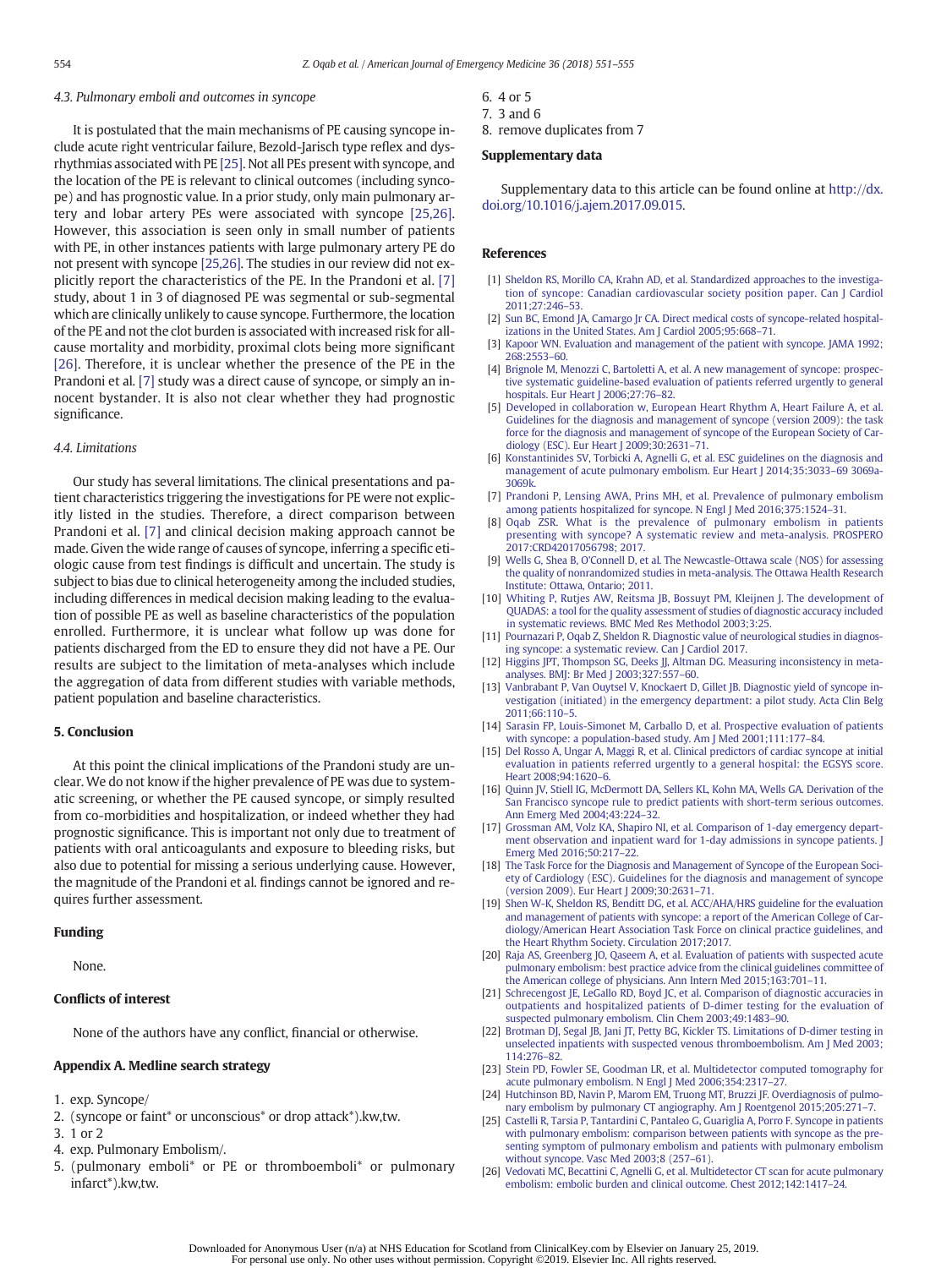#### <span id="page-3-0"></span>4.3. Pulmonary emboli and outcomes in syncope

It is postulated that the main mechanisms of PE causing syncope include acute right ventricular failure, Bezold-Jarisch type reflex and dysrhythmias associated with PE [25]. Not all PEs present with syncope, and the location of the PE is relevant to clinical outcomes (including syncope) and has prognostic value. In a prior study, only main pulmonary artery and lobar artery PEs were associated with syncope [25,26]. However, this association is seen only in small number of patients with PE, in other instances patients with large pulmonary artery PE do not present with syncope [25,26]. The studies in our review did not explicitly report the characteristics of the PE. In the Prandoni et al. [7] study, about 1 in 3 of diagnosed PE was segmental or sub-segmental which are clinically unlikely to cause syncope. Furthermore, the location of the PE and not the clot burden is associated with increased risk for allcause mortality and morbidity, proximal clots being more significant [26]. Therefore, it is unclear whether the presence of the PE in the Prandoni et al. [7] study was a direct cause of syncope, or simply an innocent bystander. It is also not clear whether they had prognostic significance.

#### 4.4. Limitations

Our study has several limitations. The clinical presentations and patient characteristics triggering the investigations for PE were not explicitly listed in the studies. Therefore, a direct comparison between Prandoni et al. [7] and clinical decision making approach cannot be made. Given the wide range of causes of syncope, inferring a specific etiologic cause from test findings is difficult and uncertain. The study is subject to bias due to clinical heterogeneity among the included studies, including differences in medical decision making leading to the evaluation of possible PE as well as baseline characteristics of the population enrolled. Furthermore, it is unclear what follow up was done for patients discharged from the ED to ensure they did not have a PE. Our results are subject to the limitation of meta-analyses which include the aggregation of data from different studies with variable methods, patient population and baseline characteristics.

#### 5. Conclusion

At this point the clinical implications of the Prandoni study are unclear. We do not know if the higher prevalence of PE was due to systematic screening, or whether the PE caused syncope, or simply resulted from co-morbidities and hospitalization, or indeed whether they had prognostic significance. This is important not only due to treatment of patients with oral anticoagulants and exposure to bleeding risks, but also due to potential for missing a serious underlying cause. However, the magnitude of the Prandoni et al. findings cannot be ignored and requires further assessment.

#### Funding

None.

#### Conflicts of interest

None of the authors have any conflict, financial or otherwise.

#### Appendix A. Medline search strategy

- 1. exp. Syncope/
- 2. (syncope or faint\* or unconscious\* or drop attack\*).kw,tw.
- 3. 1 or 2
- 4. exp. Pulmonary Embolism/.
- 5. (pulmonary emboli\* or PE or thromboemboli\* or pulmonary infarct\*).kw,tw.
- 6. 4 or 5
- 7. 3 and 6
- 8. remove duplicates from 7

#### Supplementary data

Supplementary data to this article can be found online at [http://dx.](doi:10.1016/j.ajem.2017.09.015) [doi.org/10.1016/j.ajem.2017.09.015](doi:10.1016/j.ajem.2017.09.015).

#### References

- [1] [Sheldon RS, Morillo CA, Krahn AD, et al. Standardized approaches to the investiga](http://refhub.elsevier.com/S0735-6757(17)30740-4/rf8955)[tion of syncope: Canadian cardiovascular society position paper. Can J Cardiol](http://refhub.elsevier.com/S0735-6757(17)30740-4/rf8955) [2011;27:246](http://refhub.elsevier.com/S0735-6757(17)30740-4/rf8955)–53.
- [Sun BC, Emond JA, Camargo Jr CA. Direct medical costs of syncope-related hospital](http://refhub.elsevier.com/S0735-6757(17)30740-4/rf0005)[izations in the United States. Am J Cardiol 2005;95:668](http://refhub.elsevier.com/S0735-6757(17)30740-4/rf0005)–71.
- [3] [Kapoor WN. Evaluation and management of the patient with syncope. JAMA 1992;](http://refhub.elsevier.com/S0735-6757(17)30740-4/rf0010) [268:2553](http://refhub.elsevier.com/S0735-6757(17)30740-4/rf0010)–60.
- [4] [Brignole M, Menozzi C, Bartoletti A, et al. A new management of syncope: prospec](http://refhub.elsevier.com/S0735-6757(17)30740-4/rf0015)[tive systematic guideline-based evaluation of patients referred urgently to general](http://refhub.elsevier.com/S0735-6757(17)30740-4/rf0015) [hospitals. Eur Heart J 2006;27:76](http://refhub.elsevier.com/S0735-6757(17)30740-4/rf0015)–82.
- [5] [Developed in collaboration w, European Heart Rhythm A, Heart Failure A, et al.](http://refhub.elsevier.com/S0735-6757(17)30740-4/rf0020) [Guidelines for the diagnosis and management of syncope \(version 2009\): the task](http://refhub.elsevier.com/S0735-6757(17)30740-4/rf0020) [force for the diagnosis and management of syncope of the European Society of Car](http://refhub.elsevier.com/S0735-6757(17)30740-4/rf0020)[diology \(ESC\). Eur Heart J 2009;30:2631](http://refhub.elsevier.com/S0735-6757(17)30740-4/rf0020)–71.
- [6] [Konstantinides SV, Torbicki A, Agnelli G, et al. ESC guidelines on the diagnosis and](http://refhub.elsevier.com/S0735-6757(17)30740-4/rf9685) [management of acute pulmonary embolism. Eur Heart J 2014;35:3033](http://refhub.elsevier.com/S0735-6757(17)30740-4/rf9685)–69 3069a-[3069k.](http://refhub.elsevier.com/S0735-6757(17)30740-4/rf9685)
- [7] [Prandoni P, Lensing AWA, Prins MH, et al. Prevalence of pulmonary embolism](http://refhub.elsevier.com/S0735-6757(17)30740-4/rf0030) [among patients hospitalized for syncope. N Engl J Med 2016;375:1524](http://refhub.elsevier.com/S0735-6757(17)30740-4/rf0030)–31.
- [8] [Oqab ZSR. What is the prevalence of pulmonary embolism in patients](http://refhub.elsevier.com/S0735-6757(17)30740-4/rf9850) [presenting with syncope? A systematic review and meta-analysis. PROSPERO](http://refhub.elsevier.com/S0735-6757(17)30740-4/rf9850) [2017:CRD42017056798; 2017.](http://refhub.elsevier.com/S0735-6757(17)30740-4/rf9850)
- [9] [Wells G, Shea B, O'Connell D, et al. The Newcastle-Ottawa scale \(NOS\) for assessing](http://refhub.elsevier.com/S0735-6757(17)30740-4/rf0035) [the quality of nonrandomized studies in meta-analysis. The Ottawa Health Research](http://refhub.elsevier.com/S0735-6757(17)30740-4/rf0035) [Institute: Ottawa, Ontario; 2011.](http://refhub.elsevier.com/S0735-6757(17)30740-4/rf0035)
- [10] [Whiting P, Rutjes AW, Reitsma JB, Bossuyt PM, Kleijnen J. The development of](http://refhub.elsevier.com/S0735-6757(17)30740-4/rf0040) [QUADAS: a tool for the quality assessment of studies of diagnostic accuracy included](http://refhub.elsevier.com/S0735-6757(17)30740-4/rf0040) [in systematic reviews. BMC Med Res Methodol 2003;3:25.](http://refhub.elsevier.com/S0735-6757(17)30740-4/rf0040)
- [11] [Pournazari P, Oqab Z, Sheldon R. Diagnostic value of neurological studies in diagnos](http://refhub.elsevier.com/S0735-6757(17)30740-4/rf9855)[ing syncope: a systematic review. Can J Cardiol 2017.](http://refhub.elsevier.com/S0735-6757(17)30740-4/rf9855)
- [12] [Higgins JPT, Thompson SG, Deeks JJ, Altman DG. Measuring inconsistency in meta](http://refhub.elsevier.com/S0735-6757(17)30740-4/rf0045)[analyses. BMJ: Br Med J 2003;327:557](http://refhub.elsevier.com/S0735-6757(17)30740-4/rf0045)–60.
- [13] [Vanbrabant P, Van Ouytsel V, Knockaert D, Gillet JB. Diagnostic yield of syncope in](http://refhub.elsevier.com/S0735-6757(17)30740-4/rf0050)[vestigation \(initiated\) in the emergency department: a pilot study. Acta Clin Belg](http://refhub.elsevier.com/S0735-6757(17)30740-4/rf0050) [2011;66:110](http://refhub.elsevier.com/S0735-6757(17)30740-4/rf0050)–5.
- [14] [Sarasin FP, Louis-Simonet M, Carballo D, et al. Prospective evaluation of patients](http://refhub.elsevier.com/S0735-6757(17)30740-4/rf0055) [with syncope: a population-based study. Am J Med 2001;111:177](http://refhub.elsevier.com/S0735-6757(17)30740-4/rf0055)–84.
- [15] [Del Rosso A, Ungar A, Maggi R, et al. Clinical predictors of cardiac syncope at initial](http://refhub.elsevier.com/S0735-6757(17)30740-4/rf0060) [evaluation in patients referred urgently to a general hospital: the EGSYS score.](http://refhub.elsevier.com/S0735-6757(17)30740-4/rf0060) [Heart 2008;94:1620](http://refhub.elsevier.com/S0735-6757(17)30740-4/rf0060)–6.
- [16] [Quinn JV, Stiell IG, McDermott DA, Sellers KL, Kohn MA, Wells GA. Derivation of the](http://refhub.elsevier.com/S0735-6757(17)30740-4/rf0065) [San Francisco syncope rule to predict patients with short-term serious outcomes.](http://refhub.elsevier.com/S0735-6757(17)30740-4/rf0065) [Ann Emerg Med 2004;43:224](http://refhub.elsevier.com/S0735-6757(17)30740-4/rf0065)–32.
- [17] [Grossman AM, Volz KA, Shapiro NI, et al. Comparison of 1-day emergency depart](http://refhub.elsevier.com/S0735-6757(17)30740-4/rf0070)[ment observation and inpatient ward for 1-day admissions in syncope patients. J](http://refhub.elsevier.com/S0735-6757(17)30740-4/rf0070) [Emerg Med 2016;50:217](http://refhub.elsevier.com/S0735-6757(17)30740-4/rf0070)–22.
- [18] [The Task Force for the Diagnosis and Management of Syncope of the European Soci](http://refhub.elsevier.com/S0735-6757(17)30740-4/rf0075)[ety of Cardiology \(ESC\). Guidelines for the diagnosis and management of syncope](http://refhub.elsevier.com/S0735-6757(17)30740-4/rf0075) [\(version 2009\). Eur Heart J 2009;30:2631](http://refhub.elsevier.com/S0735-6757(17)30740-4/rf0075)–71.
- [19] [Shen W-K, Sheldon RS, Benditt DG, et al. ACC/AHA/HRS guideline for the evaluation](http://refhub.elsevier.com/S0735-6757(17)30740-4/rf0080) [and management of patients with syncope: a report of the American College of Car](http://refhub.elsevier.com/S0735-6757(17)30740-4/rf0080)[diology/American Heart Association Task Force on clinical practice guidelines, and](http://refhub.elsevier.com/S0735-6757(17)30740-4/rf0080) [the Heart Rhythm Society. Circulation 2017;2017.](http://refhub.elsevier.com/S0735-6757(17)30740-4/rf0080)
- [20] [Raja AS, Greenberg JO, Qaseem A, et al. Evaluation of patients with suspected acute](http://refhub.elsevier.com/S0735-6757(17)30740-4/rf0085) [pulmonary embolism: best practice advice from the clinical guidelines committee of](http://refhub.elsevier.com/S0735-6757(17)30740-4/rf0085) [the American college of physicians. Ann Intern Med 2015;163:701](http://refhub.elsevier.com/S0735-6757(17)30740-4/rf0085)–11.
- [21] [Schrecengost JE, LeGallo RD, Boyd JC, et al. Comparison of diagnostic accuracies in](http://refhub.elsevier.com/S0735-6757(17)30740-4/rf0090) [outpatients and hospitalized patients of D-dimer testing for the evaluation of](http://refhub.elsevier.com/S0735-6757(17)30740-4/rf0090) [suspected pulmonary embolism. Clin Chem 2003;49:1483](http://refhub.elsevier.com/S0735-6757(17)30740-4/rf0090)–90.
- [22] [Brotman DJ, Segal JB, Jani JT, Petty BG, Kickler TS. Limitations of D-dimer testing in](http://refhub.elsevier.com/S0735-6757(17)30740-4/rf0095) [unselected inpatients with suspected venous thromboembolism. Am J Med 2003;](http://refhub.elsevier.com/S0735-6757(17)30740-4/rf0095) [114:276](http://refhub.elsevier.com/S0735-6757(17)30740-4/rf0095)–82.
- [23] [Stein PD, Fowler SE, Goodman LR, et al. Multidetector computed tomography for](http://refhub.elsevier.com/S0735-6757(17)30740-4/rf0100) [acute pulmonary embolism. N Engl J Med 2006;354:2317](http://refhub.elsevier.com/S0735-6757(17)30740-4/rf0100)–27.
- [24] [Hutchinson BD, Navin P, Marom EM, Truong MT, Bruzzi JF. Overdiagnosis of pulmo](http://refhub.elsevier.com/S0735-6757(17)30740-4/rf0105)[nary embolism by pulmonary CT angiography. Am J Roentgenol 2015;205:271](http://refhub.elsevier.com/S0735-6757(17)30740-4/rf0105)–7.
- [25] [Castelli R, Tarsia P, Tantardini C, Pantaleo G, Guariglia A, Porro F. Syncope in patients](http://refhub.elsevier.com/S0735-6757(17)30740-4/rf0110) [with pulmonary embolism: comparison between patients with syncope as the pre](http://refhub.elsevier.com/S0735-6757(17)30740-4/rf0110)[senting symptom of pulmonary embolism and patients with pulmonary embolism](http://refhub.elsevier.com/S0735-6757(17)30740-4/rf0110) [without syncope. Vasc Med 2003;8 \(257](http://refhub.elsevier.com/S0735-6757(17)30740-4/rf0110)–61).
- [26] [Vedovati MC, Becattini C, Agnelli G, et al. Multidetector CT scan for acute pulmonary](http://refhub.elsevier.com/S0735-6757(17)30740-4/rf0115) [embolism: embolic burden and clinical outcome. Chest 2012;142:1417](http://refhub.elsevier.com/S0735-6757(17)30740-4/rf0115)–24.